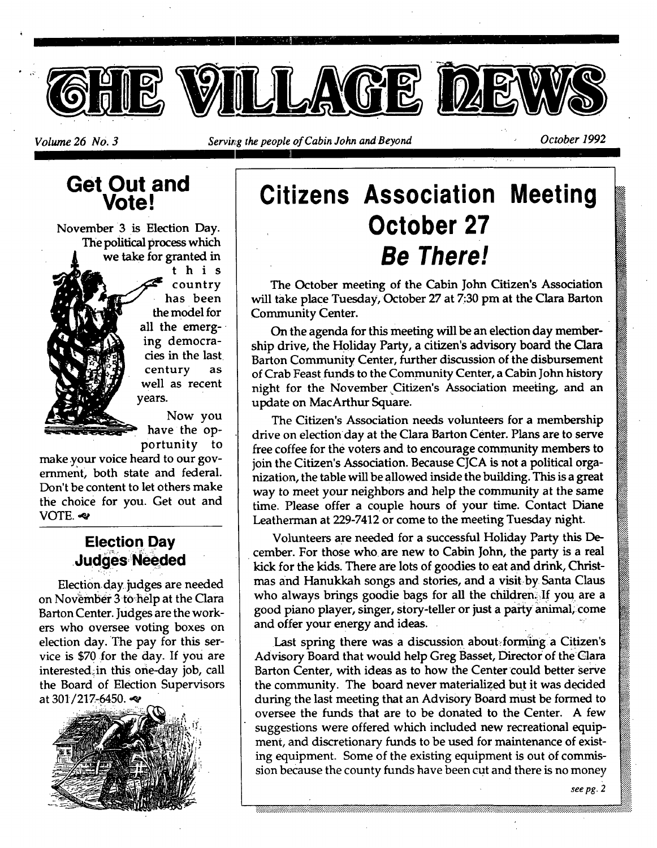

# **Get Out and Vote!**

November 3 is Election Day. The political process which we take for granted in

> this country has been the model for all the emerging democracies in the last century as well as recent vears.

Now you have the opportunity to

make your voice heard to our government, both state and federal. Don't be content to let others make the choice for you. Get out and VOTE. ~

### **Election Day Judges Needed**

Election day judges are needed on November 3 to help at the Clara Barton Center. Judges are the workers who oversee voting boxes on election day. The pay for this service is \$70 for the day. If you are interested;in this one-day job, call the Board of Election Supervisors at 301/217-6450.



# **Citizens Association Meeting October 27**  *Be There!*

The October meeting of the Cabin John Citizen's Association will take place Tuesday, October 27 at 7:30 pm at the Clara Barton Community Center.

On the agenda for this meeting will be an election day membership drive, the Holiday Party, a citizen's advisory board the Clara Barton Community Center, further discussion of the disbursement of Crab Feast funds to the Community Center, a Cabin John history night for the November Citizen's Association meeting, and an update on MacArthur Square.

The Citizen's Association needs volunteers for a membership drive on election day at the Clara Barton Center. Plans are to serve free coffee for the voters and to encourage community members to join the Citizen's Association. Because CJCA is not a political organization, the table will be allowed inside the building. This is a great way to meet your neighbors and help the community at the same time. Please offer a couple hours of your time. Contact Diane Leatherman at 229-7412 or come to the meeting Tuesday night.

Volunteers are needed for a successful Holiday Party this December. For those who are new to Cabin John, the party is a real kick for the kids. There are lots of goodies to eat and drink, Christmas and Hanukkah songs and stories, and a visit:by Santa Claus who always brings goodie bags for all the children. If you are a good piano player, singer, story-teller or just a party animal, come and offer your energy and ideas.

Last spring there was a discussion about forming a Citizen's Advisory Board that would help Greg Basset, Director of the Clara Barton Center, with ideas as to how the Center could better serve the community. The board never materialized but it was decided during the last meeting that an Advisory Board must be formed to oversee the funds that are to be donated to the Center. A few suggestions were offered which included new recreational equipment, and discretionary funds to be used for maintenance of existing equipment. Some of the existing equipment is out of commission because the county funds have been cut and there is no money

*see pg. 2*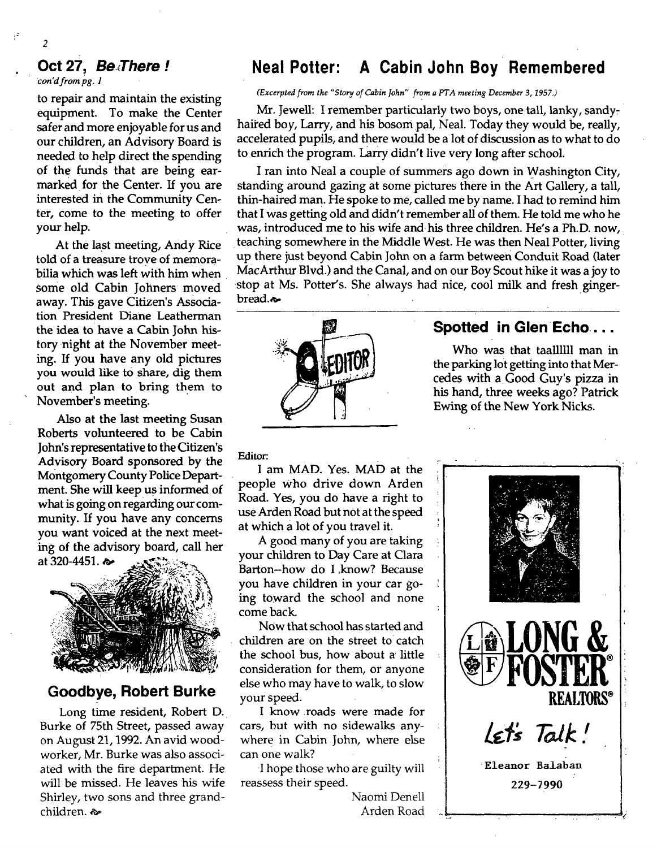#### **Oct 27,** *Be,There !*

*con'd from pg. 1* 

2

to repair and maintain the existing equipment. To make the Center safer and more enjoyable for us and our children, an Advisory Board is needed to help direct the spending of the funds that are being earmarked for the Center. If you are interested in the Community Center, come to the meeting to offer your help.

At the last meeting, Andy Rice told of a treasure trove of memorabilia which was left with him when Some old Cabin Johners moved away. This gave Citizen's Association President Diane Leatherman the idea to have a Cabin John history night at the November meeting. If you have any old pictures you would like to share, dig them out and plan to bring them to November's meeting.

Also at the last meeting Susan Roberts volunteered to be Cabin John's representative to the Citizen's Advisory Board sponsored by the Montgomery County Police Department. She will keep us informed of what is going on regarding our community. If you have any concerns you want voiced at the next meeting of the advisory board, call her at 320-4451.



#### **Goodbye, Robert Burke**

Long time resident, Robert D. Burke of 75th Street, passed away on August 21, 1992. An avid woodworker, Mr. Burke was also associated with the fire department. He will be missed. He leaves his wife Shirley, two sons and three grandchildren,  $\infty$ 

### **Neal Potter: A Cabin John Boy Remembered**

*(Excerpted from the "Story of Cabin John" from a PTA meeting December 3, 1957.)* 

Mr. Jewell: I remember particularly two boys, one tall, lanky, sandyhaired boy, Larry, and his bosom pal, Neal. Today they would be, really, accelerated pupils, and there would be a lot of discussion as to what to do to enrich the program. Larry didn't live very long after school.

I ran into Neal a couple of summers ago down in Washington City, standing around gazing at some pictures there in the Art Gallery, a tall, thin-haired man. He spoke to me, called me by name. I had to remind him that I was getting old and didn't remember all of them. He told me who he was, introduced me to his wife and his three children. He's a Ph.D. now, teaching somewhere in the Middle West. He was then Neal Potter, living up there just beyond Cabin John on a farm between Conduit Road (later MacArthur Blvd.) and the Canal, and on our Boy Scout hike it was a joy to stop at Ms. Potter's. She always had nice, cool milk and fresh gingerbread. $\sim$ 



#### **Spotted in GlenEcho ....**

Who was that taallllll man in the parking lot getting into that Mercedes with a Good Guy's pizza in his hand, three weeks ago? Patrick Ewing of the New York Nicks.

**Editor:** 

I am MAD. Yes. MAD at the people who drive down Arden Road. Yes, you do have a right to use Arden Road but not at the speed at which a lot of you travel it.

A good many of you are taking your children to Day Care at Clara Barton--how do I know? Because you have children in your car going toward the school and none come back.

NOW that school has started and children are on the street to catch the school bus, how about a little consideration for them, or anyone else who may have to walk, to slow your speed.

I know roads were made for cars, but with no sidewalks anywhere in Cabin John, where else can one walk?

I hope those who are guilty will reassess their speed.

> Naomi Denell Arden Road

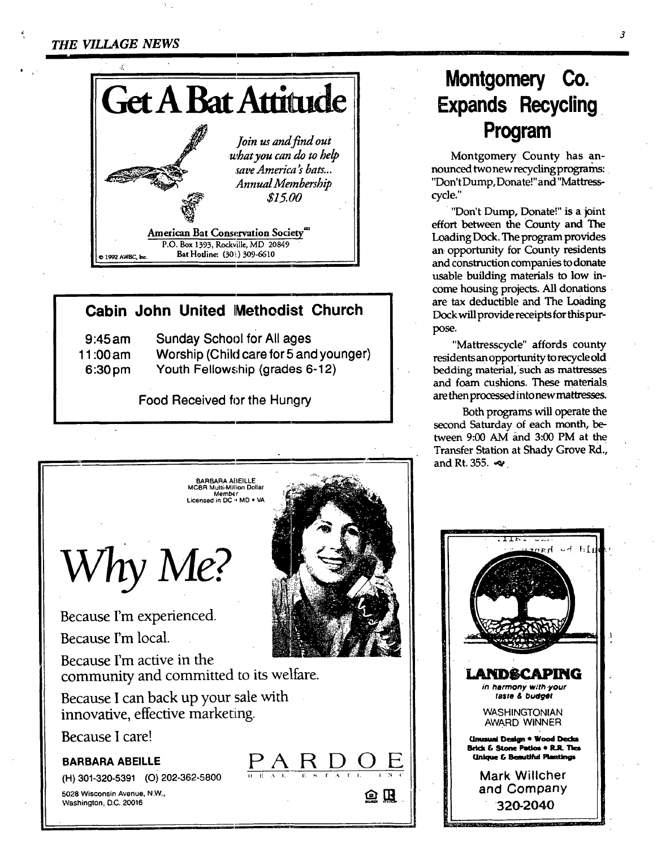

### **Cabin John United IMethodist Church**

| $9:45$ am          | <b>Sunday School for All ages</b>      |
|--------------------|----------------------------------------|
| 11:00 am           | Worship (Child care for 5 and younger) |
| 6:30 <sub>pm</sub> | Youth Fellowship (grades 6-12)         |

**Food Received for the Hungry** 



# **Montgomery Co.. Expands Recycling Program**

Montgomery County has announced two new recycling programs: "Don't Dump, Donate!" and "Mattresscycle."

"Don't Dump, Donate!" is a joint effort between the County and The Loading Dock. The program provides an opportunity for County residents and construction companies to donate usable building materials to low income housing projects. All donations are tax deductible and The Loading Dock will provide receipts for this purpose.

"Mattresscycle" affords county residents an opportunity to recycle old bedding material, such as mattresses and foam cushions. These materials. are then processed into new mattresses,

Both programs will operate the second Saturday of each month, between  $9:00$  AM and  $3:00$  PM at the Transfer Station at Shady Grove Rd., and Rt. 355.  $\ll$ 

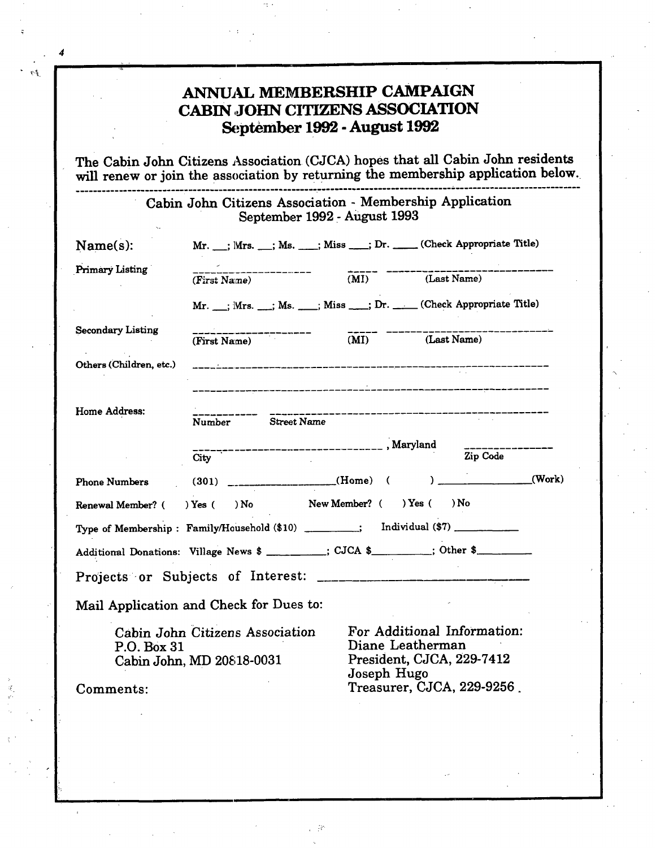# **ANNUAL MEMBERSHIP CAMPAIGN CABIN ,JOHN CITIZENS ASSOCIATION ~;ptembex 1992 - August 1992**

The Cabin John Citizens Association (CJCA) hopes that all Cabin John residents will renew or join the association by returning the membership application below.

> Cabin **John Citizens Association - Membership Application September 1992 - August 1993**

| Name(s):                                                                                                                                                                                                              | Mr. __; Mrs. __; Ms. ___; Miss ___; Dr. ____(Check Appropriate Title) |  |                                |          |  |
|-----------------------------------------------------------------------------------------------------------------------------------------------------------------------------------------------------------------------|-----------------------------------------------------------------------|--|--------------------------------|----------|--|
| Primary Listing                                                                                                                                                                                                       | (First Name)                                                          |  | (MI) (Last Name)               |          |  |
|                                                                                                                                                                                                                       | Mr. __; Mrs. __; Ms. ___; Miss ___; Dr. ____(Check Appropriate Title) |  |                                |          |  |
| <b>Secondary Listing</b>                                                                                                                                                                                              | (First Name)                                                          |  | (MI) (Last Name)               |          |  |
| Others (Children, etc.)                                                                                                                                                                                               |                                                                       |  |                                |          |  |
| <b>Home Address:</b>                                                                                                                                                                                                  | Number Street Name                                                    |  | ______________________________ |          |  |
|                                                                                                                                                                                                                       |                                                                       |  |                                | Zip Code |  |
| Phone Numbers (301) ________________(Home) ( ) _________(Work)                                                                                                                                                        |                                                                       |  |                                |          |  |
| Renewal Member? ( ) Yes ( ) No New Member? ( ) Yes ( ) No                                                                                                                                                             |                                                                       |  |                                |          |  |
|                                                                                                                                                                                                                       |                                                                       |  |                                |          |  |
| Additional Donations: Village News \$ ________; CJCA \$ _______; Other \$                                                                                                                                             |                                                                       |  |                                |          |  |
|                                                                                                                                                                                                                       |                                                                       |  |                                |          |  |
| Mail Application and Check for Dues to:                                                                                                                                                                               |                                                                       |  |                                |          |  |
| For Additional Information:<br>Cabin John Citizens Association<br>Diane Leatherman<br>P.O. Box 31<br>President, CJCA, 229-7412<br>Cabin John, MD 20818-0031<br>Joseph Hugo<br>Treasurer, CJCA, 229-9256.<br>Comments: |                                                                       |  |                                |          |  |
|                                                                                                                                                                                                                       |                                                                       |  |                                |          |  |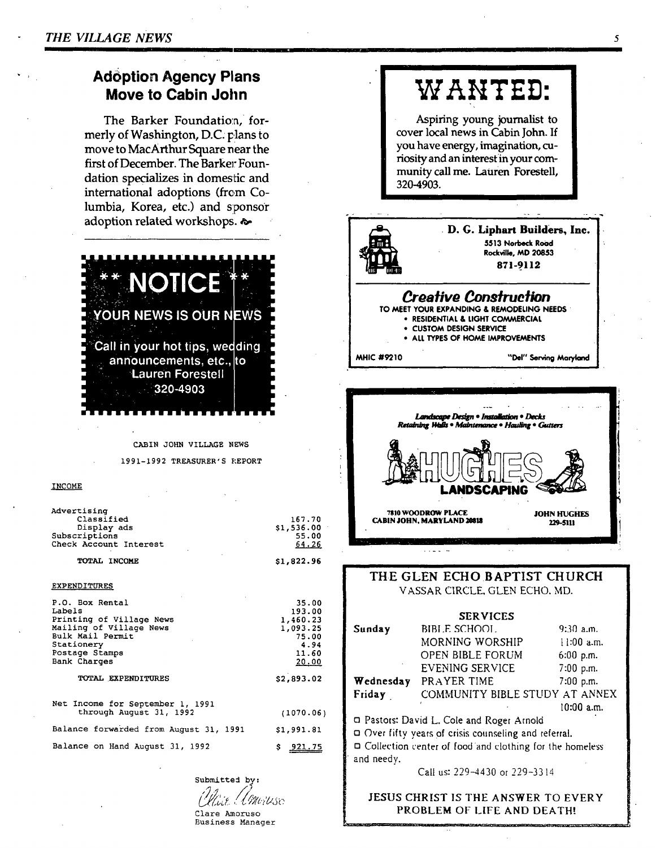### **Adoption Agency Plans** Move to Cabin John

The Barker Foundation, formerly of Washington, D.C. plans to move to MacArthur Square near the first of December. The Barker Foundation specializes in domestic and international adoptions (from Columbia, Korea, etc.) and sponsor adoption related workshops. &



CABIN JOHN VILLAGE NEWS

1991-1992 TREASURER'S REPORT

#### **INCOME**

| Advertising                            |            |
|----------------------------------------|------------|
| Classified                             | 167.70     |
| Display ads                            | \$1,536.00 |
| Subscriptions                          | 55.00      |
| Check Account Interest                 | 64.26      |
| TOTAL INCOME                           | \$1,822.96 |
| <b>EXPENDITURES</b>                    |            |
| P.O. Box Rental                        | 35.00      |
| Labels                                 | 193.00     |
| Printing of Village News               | 1,460.23   |
| Mailing of Village News                | 1,093.25   |
| Bulk Mail Permit                       | 75.00      |
| Stationery                             | 4.94       |
| Postage Stamps                         | 11.60      |
| <b>Bank Charges</b>                    | 20.00      |
| TOTAL EXPENDITURES                     | \$2,893.02 |
| Net Income for September 1, 1991       |            |
| through August 31, 1992                | (1070.06)  |
| Balance forwarded from August 31, 1991 | \$1,991.81 |
| Balance on Hand August 31, 1992        | $S$ 921.75 |

Submitted by: Contriuse Clare Amoruso Business Manager

# WANTED:

Aspiring young journalist to cover local news in Cabin John. If you have energy, imagination, curiosity and an interest in your community call me. Lauren Forestell. 320-4903.



#### THE GLEN ECHO BAPTIST CHURCH VASSAR CIRCLE, GLEN ECHO, MD.

|            | <b>SERVICES</b>                                                |              |
|------------|----------------------------------------------------------------|--------------|
| Sunday     | BIBLE SCHOOL                                                   | $9:30$ a.m.  |
|            | MORNING WORSHIP                                                | $11:00$ a.m. |
|            | OPEN BIBLE FORUM                                               | 6:00 p.m.    |
|            | EVENING SERVICE                                                | 7:00 p.m.    |
| Wednesday  | PRAYER TIME                                                    | 7:00 p.m.    |
| Friday     | COMMUNITY BIBLE STUDY AT ANNEX                                 |              |
|            |                                                                | $10:00$ a.m. |
|            | D Pastors: David L. Cole and Roger Arnold                      |              |
|            | Over fifty years of crisis counseling and referral.            |              |
|            | $\Box$ Collection center of food and clothing for the homeless |              |
| and needy. |                                                                |              |
|            | Call ust 229-4430 or 229-3314                                  |              |

JESUS CHRIST IS THE ANSWER TO EVERY PROBLEM OF LIFE AND DEATH!